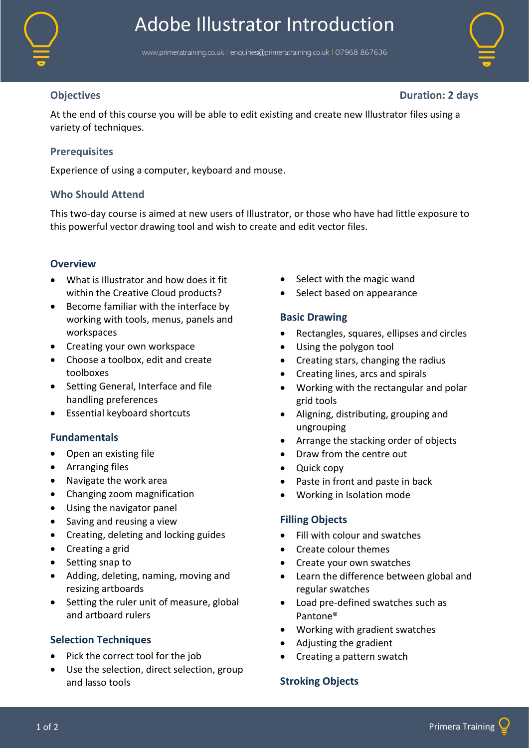

# Adobe Illustrator Introduction

www.primeratraining.co.uk I [enquiries@primeratraining.co.uk](mailto:enquiries@primeratraining.co.uk) I 07968 867636



**Objectives Duration: 2 days**

At the end of this course you will be able to edit existing and create new Illustrator files using a variety of techniques.

## **Prerequisites**

Experience of using a computer, keyboard and mouse.

## **Who Should Attend**

This two-day course is aimed at new users of Illustrator, or those who have had little exposure to this powerful vector drawing tool and wish to create and edit vector files.

#### **Overview**

- What is Illustrator and how does it fit within the Creative Cloud products?
- Become familiar with the interface by working with tools, menus, panels and workspaces
- Creating your own workspace
- Choose a toolbox, edit and create toolboxes
- Setting General, Interface and file handling preferences
- Essential keyboard shortcuts

#### **Fundamentals**

- Open an existing file
- Arranging files
- Navigate the work area
- Changing zoom magnification
- Using the navigator panel
- Saving and reusing a view
- Creating, deleting and locking guides
- Creating a grid
- Setting snap to
- Adding, deleting, naming, moving and resizing artboards
- Setting the ruler unit of measure, global and artboard rulers

## **Selection Techniques**

- Pick the correct tool for the job
- Use the selection, direct selection, group and lasso tools
- Select with the magic wand
- Select based on appearance

#### **Basic Drawing**

- Rectangles, squares, ellipses and circles
- Using the polygon tool
- Creating stars, changing the radius
- Creating lines, arcs and spirals
- Working with the rectangular and polar grid tools
- Aligning, distributing, grouping and ungrouping
- Arrange the stacking order of objects
- Draw from the centre out
- Quick copy
- Paste in front and paste in back
- Working in Isolation mode

#### **Filling Objects**

- Fill with colour and swatches
- Create colour themes
- Create your own swatches
- Learn the difference between global and regular swatches
- Load pre-defined swatches such as Pantone®
- Working with gradient swatches
- Adjusting the gradient
- Creating a pattern swatch

## **Stroking Objects**